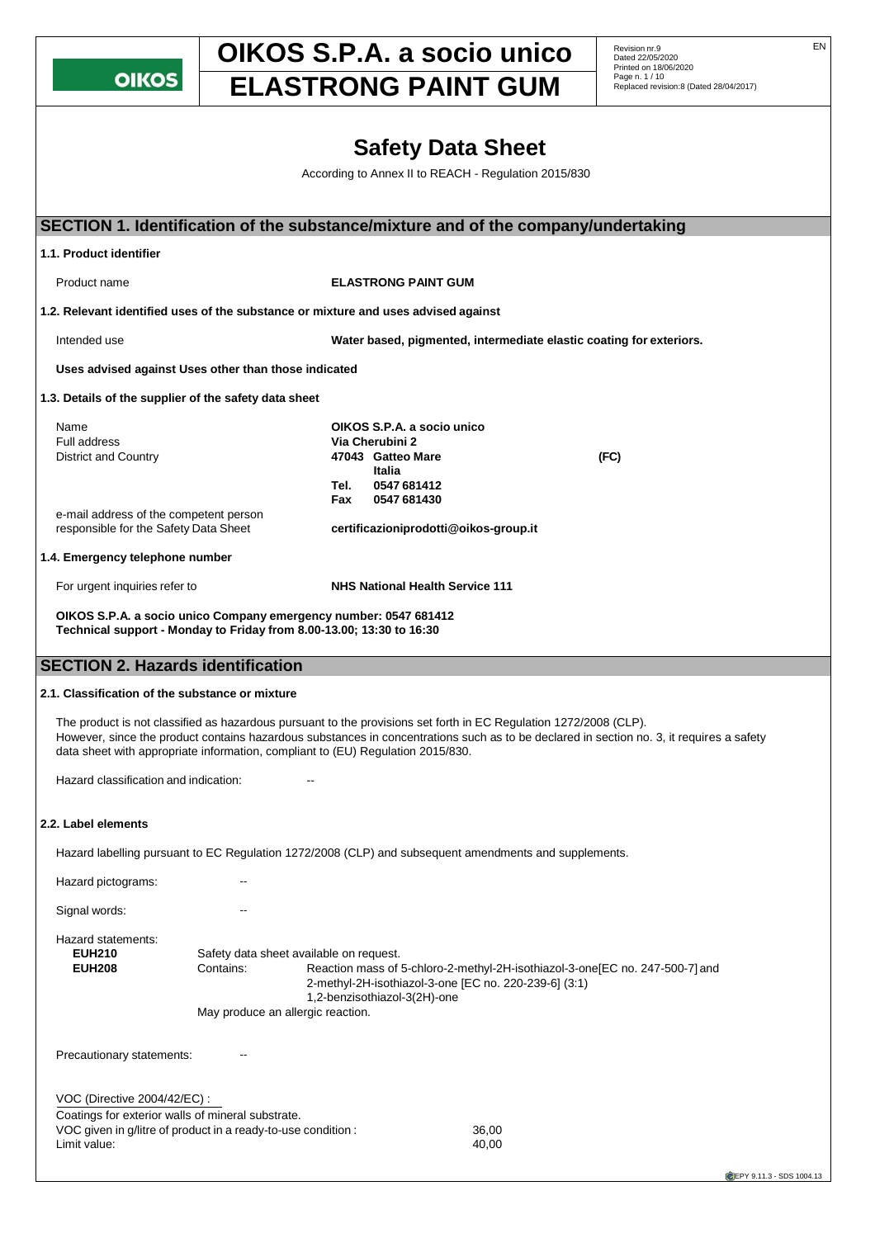**OIKOS** 

## **OIKOS S.P.A. a socio unico** Revision nr.9 **ELASTRONG PAINT GUM Page n. 1/10 Replaced revision:8 (Dated 28/04/2017)**

Revision nr.9<br>Dated 22/05/2020 Printed on 18/06/2020<br>Page n. 1 / 10

## **Safety Data Sheet** According to Annex II to REACH - Regulation 2015/830 **SECTION 1. Identification of the substance/mixture and of the company/undertaking 1.1. Product identifier** Product name **ELASTRONG PAINT GUM 1.2. Relevant identified uses of the substance or mixture and uses advised against** Intended use **Water based, pigmented, intermediate elastic coating for exteriors. Uses advised against Uses other than those indicated 1.3. Details of the supplier of the safety data sheet** Name **OIKOS S.P.A. a socio unico Via Cherubini 2** District and Country **47043 Gatteo Mare (FC) Italia Tel. 0547 681412 Fax 0547 681430** e-mail address of the competent person<br>responsible for the Safety Data Sheet responsible for the Safety Data Sheet **[certificazioniprodotti@oikos-group.it](mailto:certificazioniprodotti@oikos-group.it) 1.4. Emergency telephone number** For urgent inquiries refer to **NHS National Health Service 111 OIKOS S.P.A. a socio unico Company emergency number: 0547 681412 Technical support - Monday to Friday from 8.00-13.00; 13:30 to 16:30 SECTION 2. Hazards identification 2.1. Classification of the substance or mixture** The product is not classified as hazardous pursuant to the provisions set forth in EC Regulation 1272/2008 (CLP). However, since the product contains hazardous substances in concentrations such as to be declared in section no. 3, it requires a safety data sheet with appropriate information, compliant to (EU) Regulation 2015/830. Hazard classification and indication: **2.2. Label elements** Hazard labelling pursuant to EC Regulation 1272/2008 (CLP) and subsequent amendments and supplements. Hazard pictograms: Signal words: The Contract of the Signal words: Hazard statements: **EUH210** Safety data sheet available on request. **EUH208** Contains: Reaction mass of 5-chloro-2-methyl-2H-isothiazol-3-one[EC no. 247-500-7] and 2-methyl-2H-isothiazol-3-one [EC no. 220-239-6] (3:1) 1,2-benzisothiazol-3(2H)-one May produce an allergic reaction. Precautionary statements: VOC (Directive 2004/42/EC) : Coatings for exterior walls of mineral substrate. VOC given in g/litre of product in a ready-to-use condition : 36,00 Limit value: 40,00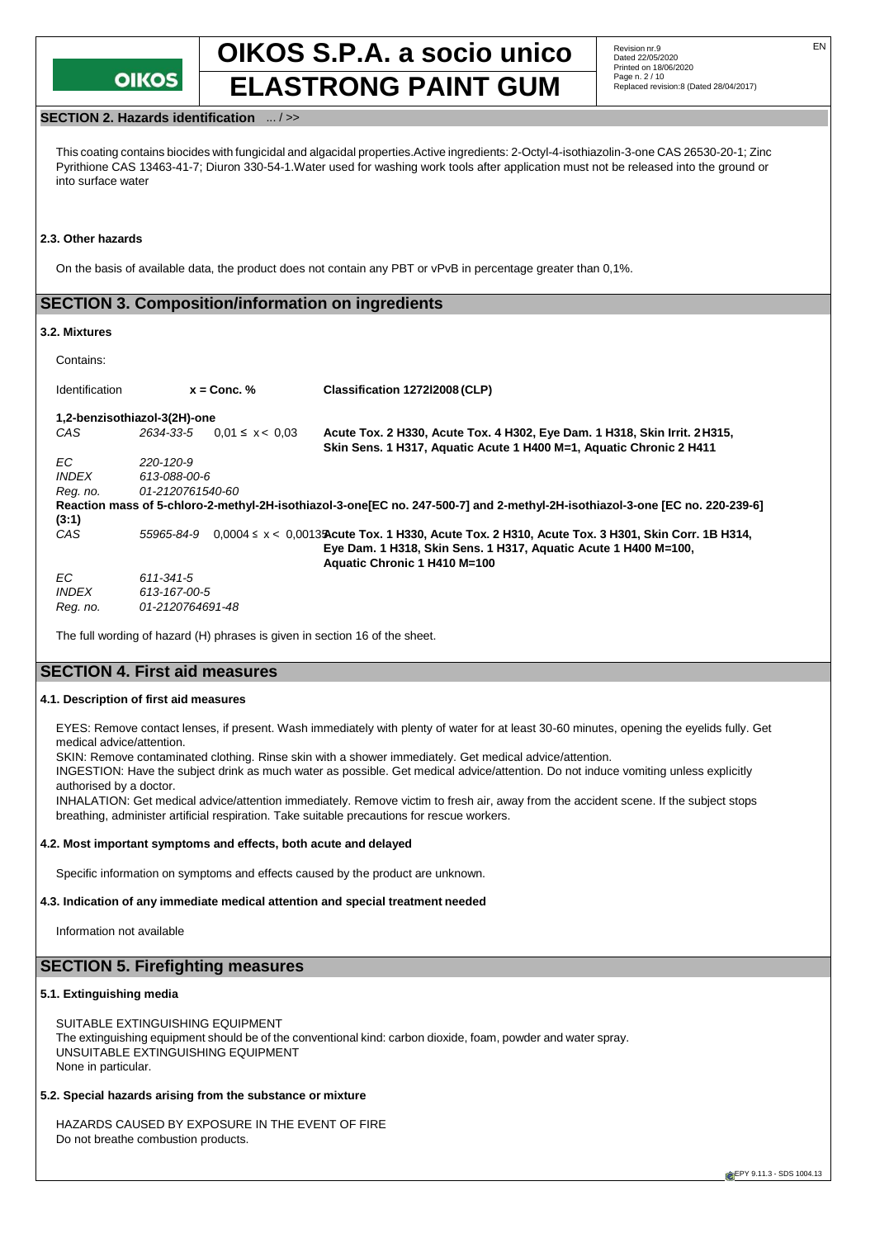

## **SECTION 2. Hazards identification** ... / >>

This coating contains biocides with fungicidal and algacidal properties.Active ingredients: 2-Octyl-4-isothiazolin-3-one CAS 26530-20-1; Zinc Pyrithione CAS 13463-41-7; Diuron 330-54-1.Water used for washing work tools after application must not be released into the ground or into surface water

#### **2.3. Other hazards**

On the basis of available data, the product does not contain any PBT or vPvB in percentage greater than 0,1%.

## **SECTION 3. Composition/information on ingredients**

#### **3.2. Mixtures**

Contains:

| <b>Identification</b>        |                  | $x =$ Conc. %                    | Classification 127212008 (CLP)                                                                                                                                                                          |
|------------------------------|------------------|----------------------------------|---------------------------------------------------------------------------------------------------------------------------------------------------------------------------------------------------------|
| 1,2-benzisothiazol-3(2H)-one |                  |                                  |                                                                                                                                                                                                         |
| CAS                          |                  | $2634-33-5$ 0.01 $\leq$ x < 0.03 | Acute Tox. 2 H330, Acute Tox. 4 H302, Eye Dam. 1 H318, Skin Irrit. 2 H315,<br>Skin Sens. 1 H317, Aquatic Acute 1 H400 M=1, Aquatic Chronic 2 H411                                                       |
| EC.                          | 220-120-9        |                                  |                                                                                                                                                                                                         |
| <b>INDEX</b>                 | 613-088-00-6     |                                  |                                                                                                                                                                                                         |
| Reg. no.                     | 01-2120761540-60 |                                  |                                                                                                                                                                                                         |
|                              |                  |                                  | Reaction mass of 5-chloro-2-methyl-2H-isothiazol-3-one [EC no. 247-500-7] and 2-methyl-2H-isothiazol-3-one [EC no. 220-239-6]                                                                           |
| (3:1)                        |                  |                                  |                                                                                                                                                                                                         |
| CAS                          | 55965-84-9       |                                  | $0.0004 \le x < 0.0013$ Acute Tox. 1 H330, Acute Tox. 2 H310, Acute Tox. 3 H301, Skin Corr. 1B H314,<br>Eye Dam. 1 H318, Skin Sens. 1 H317, Aquatic Acute 1 H400 M=100,<br>Aquatic Chronic 1 H410 M=100 |
| EC.                          | 611-341-5        |                                  |                                                                                                                                                                                                         |
| <i><b>INDEX</b></i>          | 613-167-00-5     |                                  |                                                                                                                                                                                                         |
| Reg. no.                     | 01-2120764691-48 |                                  |                                                                                                                                                                                                         |

The full wording of hazard (H) phrases is given in section 16 of the sheet.

## **SECTION 4. First aid measures**

#### **4.1. Description of first aid measures**

EYES: Remove contact lenses, if present. Wash immediately with plenty of water for at least 30-60 minutes, opening the eyelids fully. Get medical advice/attention.

SKIN: Remove contaminated clothing. Rinse skin with a shower immediately. Get medical advice/attention.

INGESTION: Have the subject drink as much water as possible. Get medical advice/attention. Do not induce vomiting unless explicitly authorised by a doctor.

INHALATION: Get medical advice/attention immediately. Remove victim to fresh air, away from the accident scene. If the subject stops breathing, administer artificial respiration. Take suitable precautions for rescue workers.

#### **4.2. Most important symptoms and effects, both acute and delayed**

Specific information on symptoms and effects caused by the product are unknown.

#### **4.3. Indication of any immediate medical attention and special treatment needed**

Information not available

## **SECTION 5. Firefighting measures**

#### **5.1. Extinguishing media**

SUITABLE EXTINGUISHING EQUIPMENT The extinguishing equipment should be of the conventional kind: carbon dioxide, foam, powder and water spray. UNSUITABLE EXTINGUISHING EQUIPMENT None in particular.

#### **5.2. Special hazards arising from the substance or mixture**

HAZARDS CAUSED BY EXPOSURE IN THE EVENT OF FIRE Do not breathe combustion products.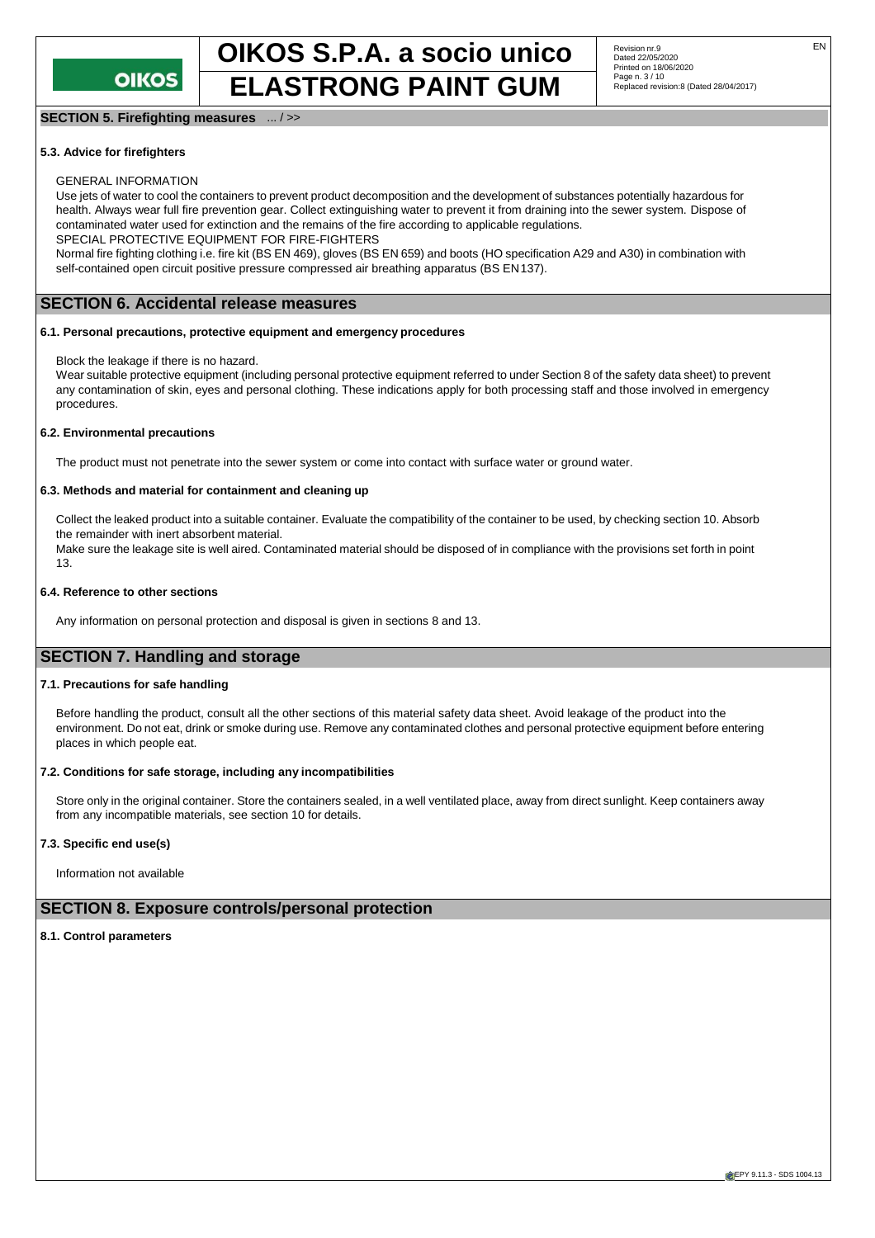

# **OIKOS S.P.A. a socio unico** Revision nr.9 **ELASTRONG PAINT GUM Page n. 3/10** *Page n. 3/10 Reglaced revision:8 (Dated 28/04/2017)*

## **SECTION 5. Firefighting measures** ... / >>

## Revision nr.9<br>Dated 22/05/2020 Printed on 18/06/2020<br>Page n. 3 / 10

#### **5.3. Advice for firefighters**

#### GENERAL INFORMATION

Use jets of water to cool the containers to prevent product decomposition and the development of substances potentially hazardous for health. Always wear full fire prevention gear. Collect extinguishing water to prevent it from draining into the sewer system. Dispose of contaminated water used for extinction and the remains of the fire according to applicable regulations.

SPECIAL PROTECTIVE EQUIPMENT FOR FIRE-FIGHTERS Normal fire fighting clothing i.e. fire kit (BS EN 469), gloves (BS EN 659) and boots (HO specification A29 and A30) in combination with

self-contained open circuit positive pressure compressed air breathing apparatus (BS EN137).

## **SECTION 6. Accidental release measures**

#### **6.1. Personal precautions, protective equipment and emergency procedures**

Block the leakage if there is no hazard.

Wear suitable protective equipment (including personal protective equipment referred to under Section 8 of the safety data sheet) to prevent any contamination of skin, eyes and personal clothing. These indications apply for both processing staff and those involved in emergency procedures.

#### **6.2. Environmental precautions**

The product must not penetrate into the sewer system or come into contact with surface water or ground water.

#### **6.3. Methods and material for containment and cleaning up**

Collect the leaked product into a suitable container. Evaluate the compatibility of the container to be used, by checking section 10. Absorb the remainder with inert absorbent material.

Make sure the leakage site is well aired. Contaminated material should be disposed of in compliance with the provisions set forth in point 13.

#### **6.4. Reference to other sections**

Any information on personal protection and disposal is given in sections 8 and 13.

## **SECTION 7. Handling and storage**

#### **7.1. Precautions for safe handling**

Before handling the product, consult all the other sections of this material safety data sheet. Avoid leakage of the product into the environment. Do not eat, drink or smoke during use. Remove any contaminated clothes and personal protective equipment before entering places in which people eat.

#### **7.2. Conditions for safe storage, including any incompatibilities**

Store only in the original container. Store the containers sealed, in a well ventilated place, away from direct sunlight. Keep containers away from any incompatible materials, see section 10 for details.

#### **7.3. Specific end use(s)**

Information not available

## **SECTION 8. Exposure controls/personal protection**

#### **8.1. Control parameters**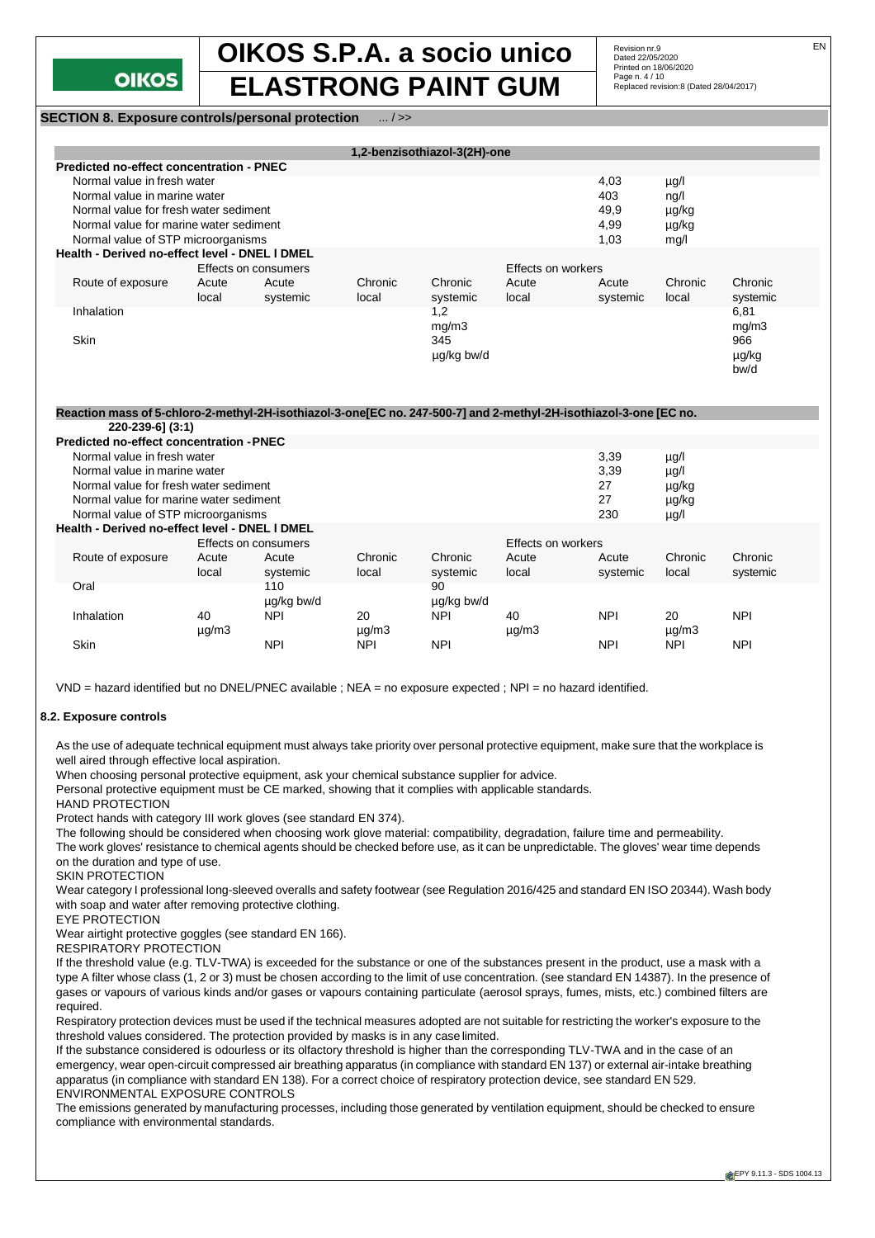

Revision nr.9<br>Dated 22/05/2020 Printed on 18/06/2020<br>Page n. 4 / 10

**SECTION 8. Exposure controls/personal protection** ... / >>

|                                                 |                                       |                      |                  | 1,2-benzisothiazol-3(2H)-one |                |                   |                  |                      |
|-------------------------------------------------|---------------------------------------|----------------------|------------------|------------------------------|----------------|-------------------|------------------|----------------------|
| <b>Predicted no-effect concentration - PNEC</b> |                                       |                      |                  |                              |                |                   |                  |                      |
| Normal value in fresh water                     |                                       |                      |                  |                              |                | 4,03              | $\mu$ g/l        |                      |
|                                                 | Normal value in marine water          |                      |                  |                              |                | 403               | $\frac{ng}{l}$   |                      |
|                                                 | Normal value for fresh water sediment |                      |                  |                              |                | 49,9              | µg/kg            |                      |
| Normal value for marine water sediment          |                                       |                      |                  |                              |                | 4,99              | µg/kg            |                      |
| Normal value of STP microorganisms              |                                       |                      |                  |                              |                | 1.03              | mq/l             |                      |
| Health - Derived no-effect level - DNEL I DMEL  |                                       |                      |                  |                              |                |                   |                  |                      |
|                                                 |                                       | Effects on consumers |                  | Effects on workers           |                |                   |                  |                      |
| Route of exposure                               | Acute<br>local                        | Acute<br>systemic    | Chronic<br>local | Chronic<br>systemic          | Acute<br>local | Acute<br>systemic | Chronic<br>local | Chronic<br>systemic  |
| Inhalation                                      |                                       |                      |                  | 1,2<br>mg/m3                 |                |                   |                  | 6,81<br>mg/m3        |
| <b>Skin</b>                                     |                                       |                      |                  | 345<br>µg/kg bw/d            |                |                   |                  | 966<br>µg/kg<br>bw/d |

#### **Reaction mass of 5-chloro-2-methyl-2H-isothiazol-3-one[EC no. 247-500-7] and 2-methyl-2H-isothiazol-3-one [EC no.**

|                                    | 220-239-61 (3:1)                                |                      |            |            |            |                           |            |               |            |
|------------------------------------|-------------------------------------------------|----------------------|------------|------------|------------|---------------------------|------------|---------------|------------|
|                                    | <b>Predicted no-effect concentration - PNEC</b> |                      |            |            |            |                           |            |               |            |
| Normal value in fresh water        |                                                 |                      |            |            |            |                           | 3,39       | µg/l          |            |
|                                    | Normal value in marine water                    |                      |            |            |            |                           | 3,39       | $\mu$ g/l     |            |
|                                    | Normal value for fresh water sediment           |                      |            |            |            |                           | 27         | µg/kg         |            |
|                                    | Normal value for marine water sediment          |                      |            |            |            |                           | 27         | µg/kg         |            |
| Normal value of STP microorganisms |                                                 |                      |            |            |            |                           | 230        | $\mu$ g/l     |            |
|                                    | Health - Derived no-effect level - DNEL I DMEL  |                      |            |            |            |                           |            |               |            |
|                                    |                                                 | Effects on consumers |            |            |            | <b>Effects on workers</b> |            |               |            |
|                                    | Route of exposure                               | Acute                | Acute      | Chronic    | Chronic    | Acute                     | Acute      | Chronic       | Chronic    |
|                                    |                                                 | local                | systemic   | local      | systemic   | local                     | systemic   | local         | systemic   |
|                                    | Oral                                            |                      | 110        |            | 90         |                           |            |               |            |
|                                    |                                                 |                      | ug/kg bw/d |            | ug/kg bw/d |                           |            |               |            |
|                                    | Inhalation                                      | 40                   | <b>NPI</b> | 20         | <b>NPI</b> | 40                        | <b>NPI</b> | 20            | <b>NPI</b> |
|                                    |                                                 | $\mu$ g/m $3$        |            | $\mu$ g/m3 |            | $\mu$ g/m3                |            | $\mu$ g/m $3$ |            |
|                                    | Skin                                            |                      | <b>NPI</b> | <b>NPI</b> | <b>NPI</b> |                           | <b>NPI</b> | <b>NPI</b>    | <b>NPI</b> |
|                                    |                                                 |                      |            |            |            |                           |            |               |            |

VND = hazard identified but no DNEL/PNEC available ; NEA = no exposure expected ; NPI = no hazard identified.

#### **8.2. Exposure controls**

As the use of adequate technical equipment must always take priority over personal protective equipment, make sure that the workplace is well aired through effective local aspiration.

When choosing personal protective equipment, ask your chemical substance supplier for advice.

Personal protective equipment must be CE marked, showing that it complies with applicable standards.

HAND PROTECTION

Protect hands with category III work gloves (see standard EN 374).

The following should be considered when choosing work glove material: compatibility, degradation, failure time and permeability.

The work gloves' resistance to chemical agents should be checked before use, as it can be unpredictable. The gloves' wear time depends on the duration and type of use.

SKIN PROTECTION

Wear category I professional long-sleeved overalls and safety footwear (see Regulation 2016/425 and standard EN ISO 20344). Wash body with soap and water after removing protective clothing.

EYE PROTECTION Wear airtight protective goggles (see standard EN 166).

RESPIRATORY PROTECTION

If the threshold value (e.g. TLV-TWA) is exceeded for the substance or one of the substances present in the product, use a mask with a type A filter whose class (1, 2 or 3) must be chosen according to the limit of use concentration. (see standard EN 14387). In the presence of gases or vapours of various kinds and/or gases or vapours containing particulate (aerosol sprays, fumes, mists, etc.) combined filters are required.

Respiratory protection devices must be used if the technical measures adopted are not suitable for restricting the worker's exposure to the threshold values considered. The protection provided by masks is in any case limited.

If the substance considered is odourless or its olfactory threshold is higher than the corresponding TLV-TWA and in the case of an emergency, wear open-circuit compressed air breathing apparatus (in compliance with standard EN 137) or external air-intake breathing apparatus (in compliance with standard EN 138). For a correct choice of respiratory protection device, see standard EN 529. ENVIRONMENTAL EXPOSURE CONTROLS

The emissions generated by manufacturing processes, including those generated by ventilation equipment, should be checked to ensure compliance with environmental standards.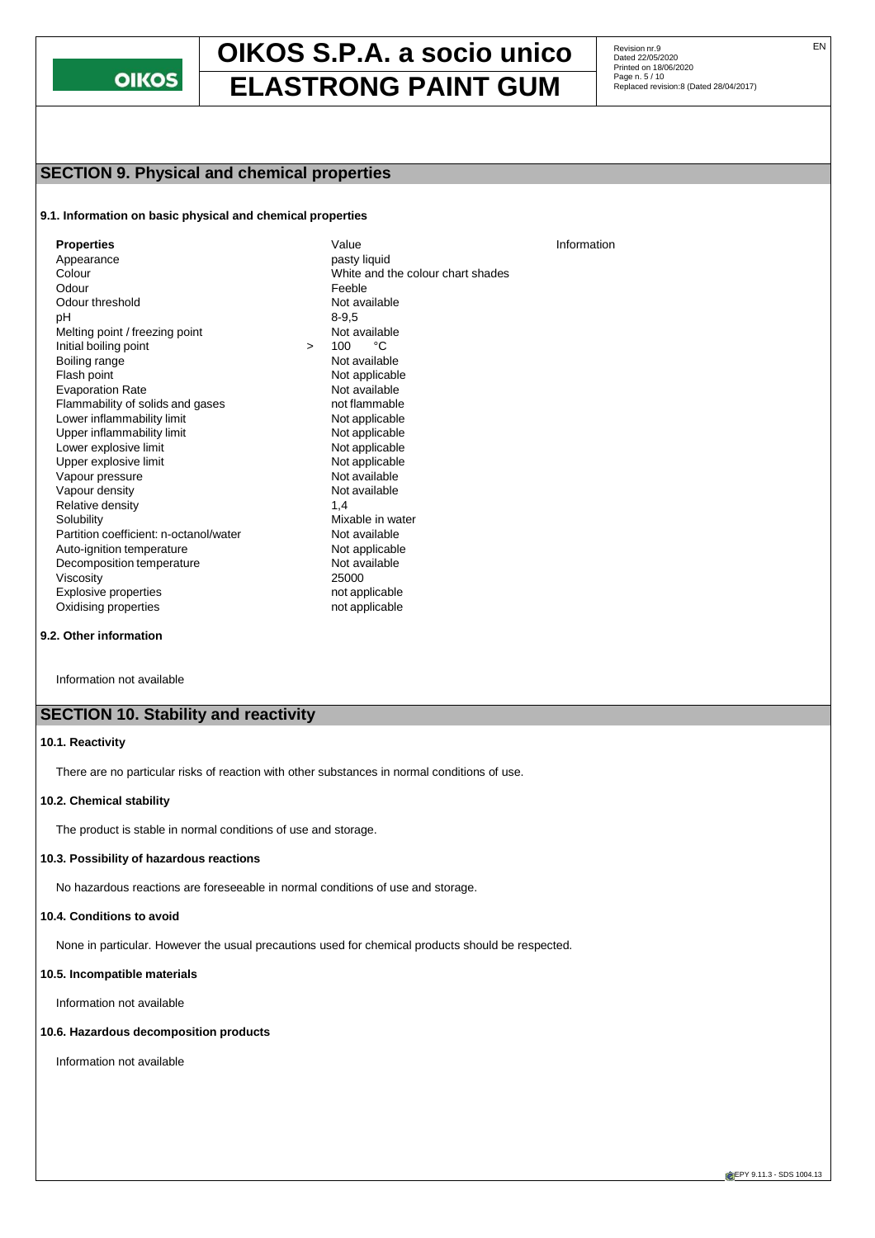

Revision nr.9<br>Dated 22/05/2020 Printed on 18/06/2020<br>Page n. 5 / 10

## **SECTION 9. Physical and chemical properties**

#### **9.1. Information on basic physical and chemical properties**

| <b>Properties</b>                      |        | Value                             | Information |
|----------------------------------------|--------|-----------------------------------|-------------|
| Appearance                             |        | pasty liquid                      |             |
| Colour                                 |        | White and the colour chart shades |             |
| Odour                                  |        | Feeble                            |             |
| Odour threshold                        |        | Not available                     |             |
|                                        |        |                                   |             |
| рH                                     |        | $8 - 9.5$                         |             |
| Melting point / freezing point         |        | Not available                     |             |
| Initial boiling point                  | $\geq$ | °C<br>100                         |             |
| Boiling range                          |        | Not available                     |             |
| Flash point                            |        | Not applicable                    |             |
| <b>Evaporation Rate</b>                |        | Not available                     |             |
| Flammability of solids and gases       |        | not flammable                     |             |
| Lower inflammability limit             |        | Not applicable                    |             |
| Upper inflammability limit             |        | Not applicable                    |             |
| Lower explosive limit                  |        | Not applicable                    |             |
| Upper explosive limit                  |        | Not applicable                    |             |
| Vapour pressure                        |        | Not available                     |             |
| Vapour density                         |        | Not available                     |             |
| Relative density                       |        | 1.4                               |             |
| Solubility                             |        | Mixable in water                  |             |
| Partition coefficient: n-octanol/water |        | Not available                     |             |
| Auto-ignition temperature              |        | Not applicable                    |             |
| Decomposition temperature              |        | Not available                     |             |
| Viscosity                              |        | 25000                             |             |
| <b>Explosive properties</b>            |        | not applicable                    |             |
| Oxidising properties                   |        | not applicable                    |             |

#### **9.2. Other information**

Information not available

## **SECTION 10. Stability and reactivity**

### **10.1. Reactivity**

There are no particular risks of reaction with other substances in normal conditions of use.

#### **10.2. Chemical stability**

The product is stable in normal conditions of use and storage.

#### **10.3. Possibility of hazardous reactions**

No hazardous reactions are foreseeable in normal conditions of use and storage.

#### **10.4. Conditions to avoid**

None in particular. However the usual precautions used for chemical products should be respected.

#### **10.5. Incompatible materials**

Information not available

#### **10.6. Hazardous decomposition products**

Information not available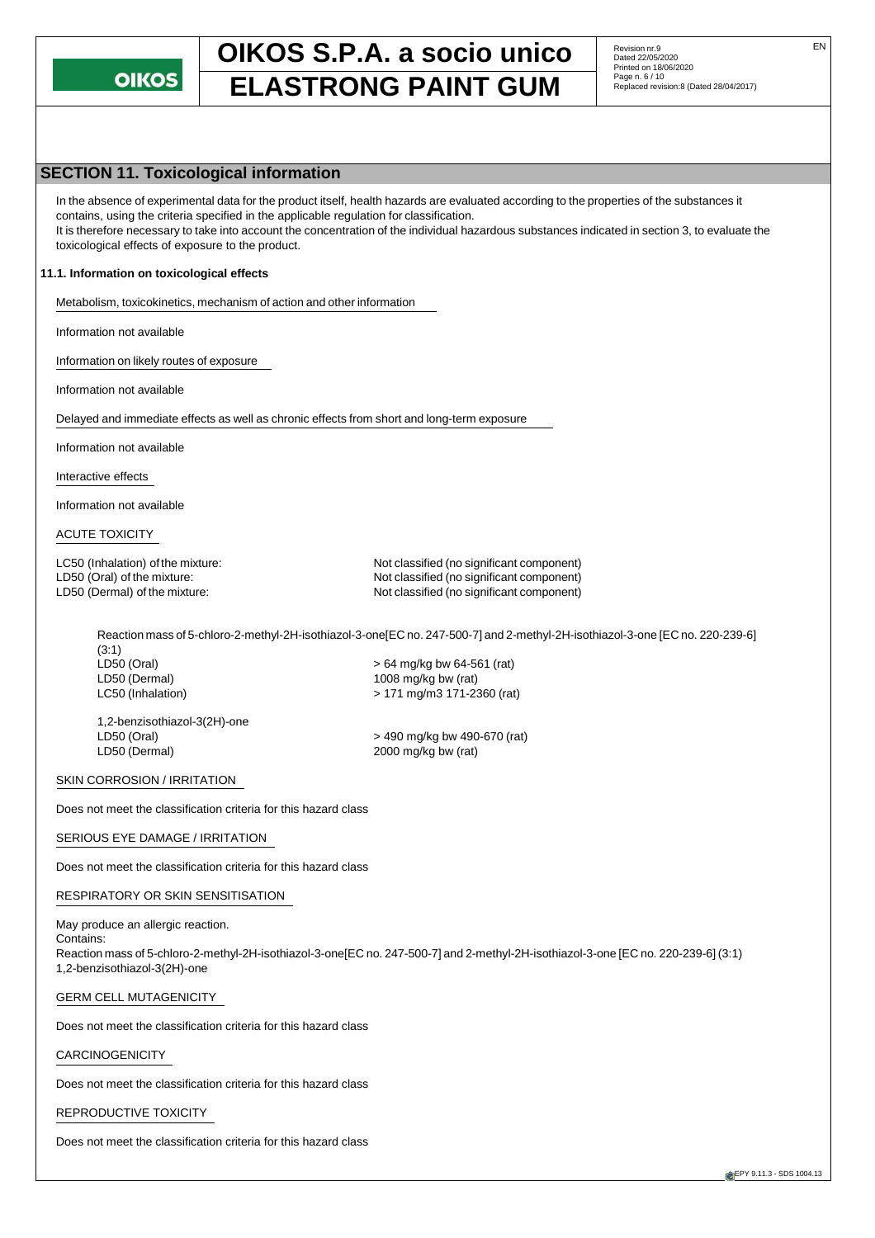

## **SECTION 11. Toxicological information**

In the absence of experimental data for the product itself, health hazards are evaluated according to the properties of the substances it contains, using the criteria specified in the applicable regulation for classification. It is therefore necessary to take into account the concentration of the individual hazardous substances indicated in section 3, to evaluate the toxicological effects of exposure to the product.

#### **11.1. Information on toxicological effects**

Metabolism, toxicokinetics, mechanism of action and other information

Information not available

Information on likely routes of exposure

Information not available

Delayed and immediate effects as well as chronic effects from short and long-term exposure

Information not available

Interactive effects

Information not available

#### ACUTE TOXICITY

LC50 (Inhalation) of the mixture: Not classified (no significant component) LD50 (Oral) of the mixture:  $\blacksquare$  Not classified (no significant component) LD50 (Dermal) of the mixture: Not classified (no significant component)

Reaction mass of 5-chloro-2-methyl-2H-isothiazol-3-one[EC no. 247-500-7] and 2-methyl-2H-isothiazol-3-one [EC no. 220-239-6] (3:1)

LD50 (Oral) > 64 mg/kg bw 64-561 (rat) LD50 (Dermal) 1008 mg/kg bw (rat) LC50 (Inhalation) > 171 mg/m3 171-2360 (rat)

1,2-benzisothiazol-3(2H)-one LD50 (Oral) > 490 mg/kg bw 490-670 (rat)

 $2000$  mg/kg bw (rat)

#### SKIN CORROSION / IRRITATION

Does not meet the classification criteria for this hazard class

#### SERIOUS EYE DAMAGE / IRRITATION

Does not meet the classification criteria for this hazard class

#### RESPIRATORY OR SKIN SENSITISATION

May produce an allergic reaction. Contains: Reaction mass of 5-chloro-2-methyl-2H-isothiazol-3-one[EC no. 247-500-7] and 2-methyl-2H-isothiazol-3-one [EC no. 220-239-6] (3:1) 1,2-benzisothiazol-3(2H)-one

#### GERM CELL MUTAGENICITY

Does not meet the classification criteria for this hazard class

#### CARCINOGENICITY

Does not meet the classification criteria for this hazard class

#### REPRODUCTIVE TOXICITY

Does not meet the classification criteria for this hazard class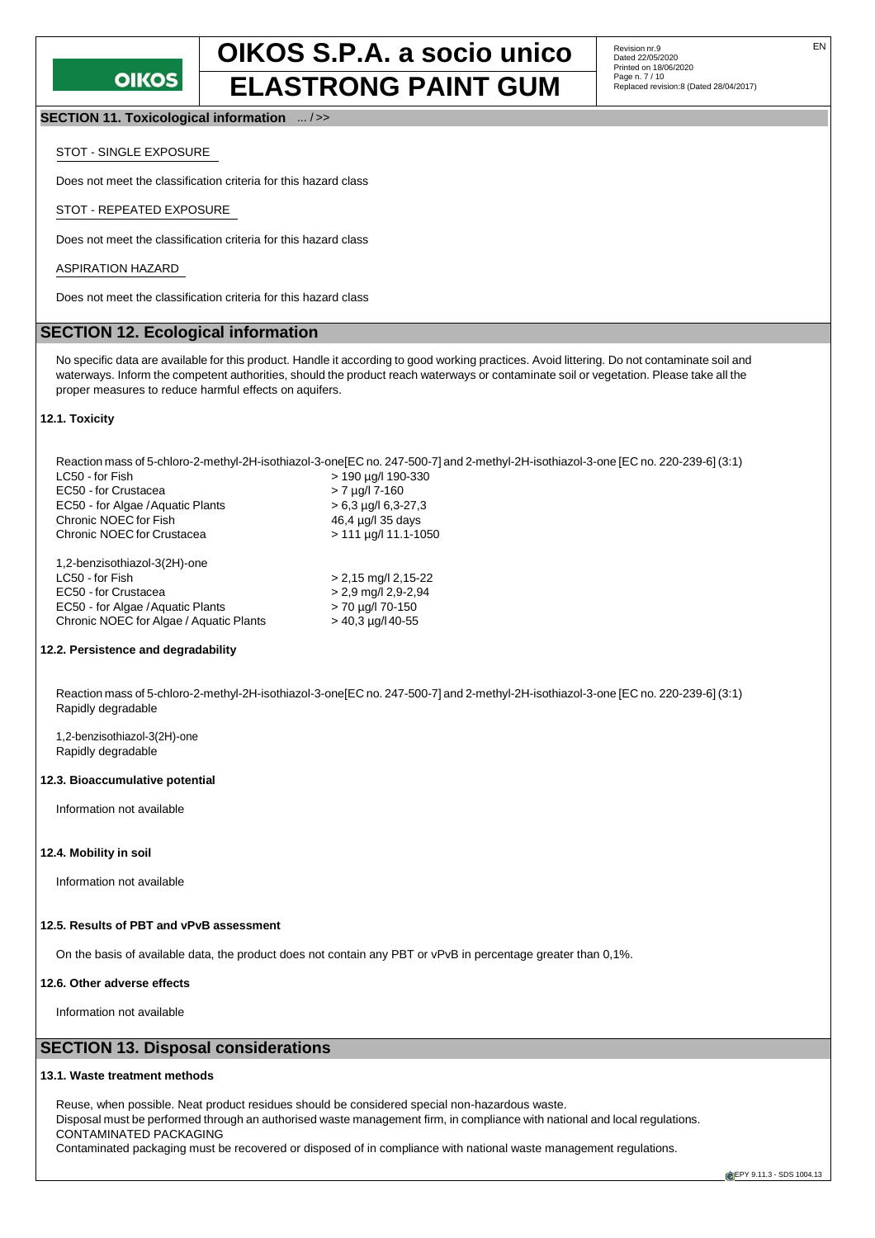

**SECTION 11. Toxicological information** ... / >>

#### STOT - SINGLE EXPOSURE

Does not meet the classification criteria for this hazard class

#### STOT - REPEATED EXPOSURE

Does not meet the classification criteria for this hazard class

#### ASPIRATION HAZARD

Does not meet the classification criteria for this hazard class

## **SECTION 12. Ecological information**

No specific data are available for this product. Handle it according to good working practices. Avoid littering. Do not contaminate soil and waterways. Inform the competent authorities, should the product reach waterways or contaminate soil or vegetation. Please take all the proper measures to reduce harmful effects on aquifers.

#### **12.1. Toxicity**

Reaction mass of 5-chloro-2-methyl-2H-isothiazol-3-one[EC no. 247-500-7] and 2-methyl-2H-isothiazol-3-one [EC no. 220-239-6] (3:1) > 190 µg/l 190-330<br>> 7 µg/l 7-160 EC50 - for Crustacea EC50 - for Algae /Aquatic Plants  $> 6,3$   $\mu$ g/l 6,3-27,3<br>Chronic NOEC for Fish  $46,4 \mu$ g/l 35 days Chronic NOEC for Fish Chronic NOEC for Crustacea > 111 µg/l 11.1-1050 1,2-benzisothiazol-3(2H)-one LC50 - for Fish > 2,15 mg/l 2,15-22

| LC50 - for Fish                         | $> 2,15$ mg/l 2,15-22 |
|-----------------------------------------|-----------------------|
| EC50 - for Crustacea                    | $> 2.9$ mg/l 2,9-2,94 |
| EC50 - for Algae / Aguatic Plants       | > 70 µg/l 70-150      |
| Chronic NOEC for Algae / Aguatic Plants | $>$ 40,3 µg/l 40-55   |
|                                         |                       |

#### **12.2. Persistence and degradability**

Reaction mass of 5-chloro-2-methyl-2H-isothiazol-3-one[EC no. 247-500-7] and 2-methyl-2H-isothiazol-3-one [EC no. 220-239-6] (3:1) Rapidly degradable

1,2-benzisothiazol-3(2H)-one Rapidly degradable

#### **12.3. Bioaccumulative potential**

Information not available

#### **12.4. Mobility in soil**

Information not available

### **12.5. Results of PBT and vPvB assessment**

On the basis of available data, the product does not contain any PBT or vPvB in percentage greater than 0,1%.

#### **12.6. Other adverse effects**

Information not available

### **SECTION 13. Disposal considerations**

#### **13.1. Waste treatment methods**

Reuse, when possible. Neat product residues should be considered special non-hazardous waste. Disposal must be performed through an authorised waste management firm, in compliance with national and local regulations. CONTAMINATED PACKAGING Contaminated packaging must be recovered or disposed of in compliance with national waste management regulations.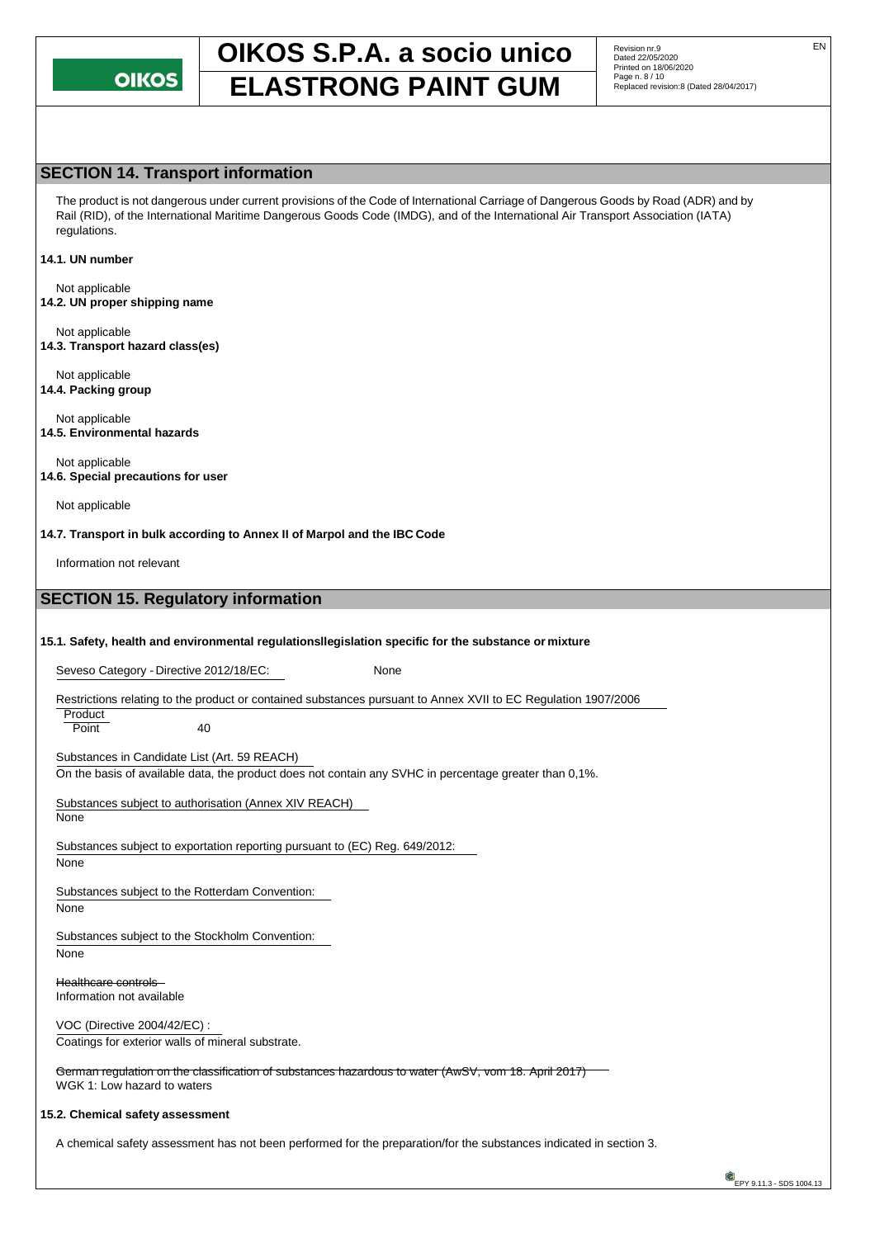

Revision nr.9<br>Dated 22/05/2020 Printed on 18/06/2020<br>Page n. 8 / 10

### **SECTION 14. Transport information**

The product is not dangerous under current provisions of the Code of International Carriage of Dangerous Goods by Road (ADR) and by Rail (RID), of the International Maritime Dangerous Goods Code (IMDG), and of the International Air Transport Association (IATA) regulations.

#### **14.1. UN number**

Not applicable **14.2. UN proper shipping name**

Not applicable **14.3. Transport hazard class(es)**

Not applicable **14.4. Packing group**

Not applicable **14.5. Environmental hazards**

Not applicable **14.6. Special precautions for user**

Not applicable

**14.7. Transport in bulk according to Annex II of Marpol and the IBC Code**

Information not relevant

## **SECTION 15. Regulatory information**

#### **15.1. Safety, health and environmental regulationsllegislation specific for the substance or mixture**

Seveso Category - Directive 2012/18/EC: None

Restrictions relating to the product or contained substances pursuant to Annex XVII to EC Regulation 1907/2006

**Product** 

Point 40

Substances in Candidate List (Art. 59 REACH) On the basis of available data, the product does not contain any SVHC in percentage greater than 0,1%.

Substances subject to authorisation (Annex XIV REACH) None

Substances subject to exportation reporting pursuant to (EC) Reg. 649/2012:

None

Substances subject to the Rotterdam Convention:

None

Substances subject to the Stockholm Convention:

None

Healthcare controls Information not available

VOC (Directive 2004/42/EC) : Coatings for exterior walls of mineral substrate.

German regulation on the classification of substances hazardous to water (AwSV, vom 18. April 2017) WGK 1: Low hazard to waters

#### **15.2. Chemical safety assessment**

A chemical safety assessment has not been performed for the preparation/for the substances indicated in section 3.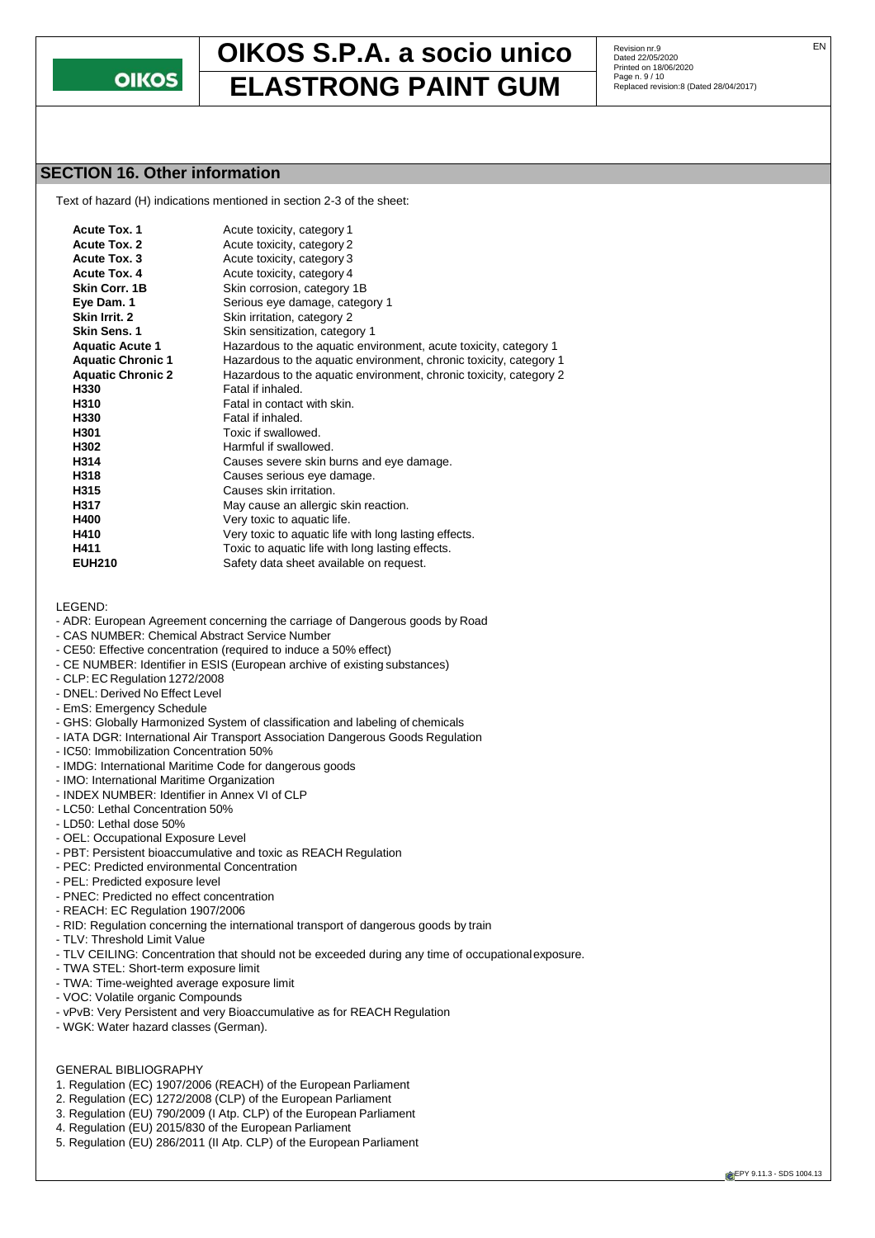

Revision nr.9<br>Dated 22/05/2020 Printed on 18/06/2020<br>Page n. 9 / 10

## **SECTION 16. Other information**

Text of hazard (H) indications mentioned in section 2-3 of the sheet:

| <b>Acute Tox. 1</b>      | Acute toxicity, category 1                                         |
|--------------------------|--------------------------------------------------------------------|
| Acute Tox. 2             | Acute toxicity, category 2                                         |
|                          |                                                                    |
| Acute Tox. 3             | Acute toxicity, category 3                                         |
| Acute Tox. 4             | Acute toxicity, category 4                                         |
| <b>Skin Corr. 1B</b>     | Skin corrosion, category 1B                                        |
| Eye Dam. 1               | Serious eye damage, category 1                                     |
| Skin Irrit. 2            | Skin irritation, category 2                                        |
| <b>Skin Sens. 1</b>      | Skin sensitization, category 1                                     |
| <b>Aquatic Acute 1</b>   | Hazardous to the aquatic environment, acute toxicity, category 1   |
| <b>Aquatic Chronic 1</b> | Hazardous to the aquatic environment, chronic toxicity, category 1 |
| <b>Aquatic Chronic 2</b> | Hazardous to the aquatic environment, chronic toxicity, category 2 |
| H330                     | Fatal if inhaled.                                                  |
| H310                     | Fatal in contact with skin.                                        |
| H330                     | Fatal if inhaled.                                                  |
| H301                     | Toxic if swallowed.                                                |
| H302                     | Harmful if swallowed.                                              |
| H314                     | Causes severe skin burns and eye damage.                           |
| H318                     | Causes serious eye damage.                                         |
| H315                     | Causes skin irritation.                                            |
| H317                     | May cause an allergic skin reaction.                               |
| H400                     | Very toxic to aquatic life.                                        |
| H410                     | Very toxic to aquatic life with long lasting effects.              |
| H411                     | Toxic to aquatic life with long lasting effects.                   |
| <b>EUH210</b>            | Safety data sheet available on request.                            |

LEGEND:

- ADR: European Agreement concerning the carriage of Dangerous goods by Road
- CAS NUMBER: Chemical Abstract Service Number
- CE50: Effective concentration (required to induce a 50% effect)
- CE NUMBER: Identifier in ESIS (European archive of existing substances)
- CLP: EC Regulation 1272/2008
- DNEL: Derived No Effect Level
- EmS: Emergency Schedule
- GHS: Globally Harmonized System of classification and labeling of chemicals
- IATA DGR: International Air Transport Association Dangerous Goods Regulation
- IC50: Immobilization Concentration 50%
- IMDG: International Maritime Code for dangerous goods
- IMO: International Maritime Organization
- INDEX NUMBER: Identifier in Annex VI of CLP
- LC50: Lethal Concentration 50%
- LD50: Lethal dose 50%
- OEL: Occupational Exposure Level
- PBT: Persistent bioaccumulative and toxic as REACH Regulation
- PEC: Predicted environmental Concentration
- PEL: Predicted exposure level
- PNEC: Predicted no effect concentration
- REACH: EC Regulation 1907/2006
- RID: Regulation concerning the international transport of dangerous goods by train
- TLV: Threshold Limit Value
- TLV CEILING: Concentration that should not be exceeded during any time of occupationalexposure.
- TWA STEL: Short-term exposure limit
- TWA: Time-weighted average exposure limit
- VOC: Volatile organic Compounds
- vPvB: Very Persistent and very Bioaccumulative as for REACH Regulation
- WGK: Water hazard classes (German).

#### GENERAL BIBLIOGRAPHY

- 1. Regulation (EC) 1907/2006 (REACH) of the European Parliament
- 2. Regulation (EC) 1272/2008 (CLP) of the European Parliament
- 3. Regulation (EU) 790/2009 (I Atp. CLP) of the European Parliament
- 4. Regulation (EU) 2015/830 of the European Parliament
- 5. Regulation (EU) 286/2011 (II Atp. CLP) of the European Parliament